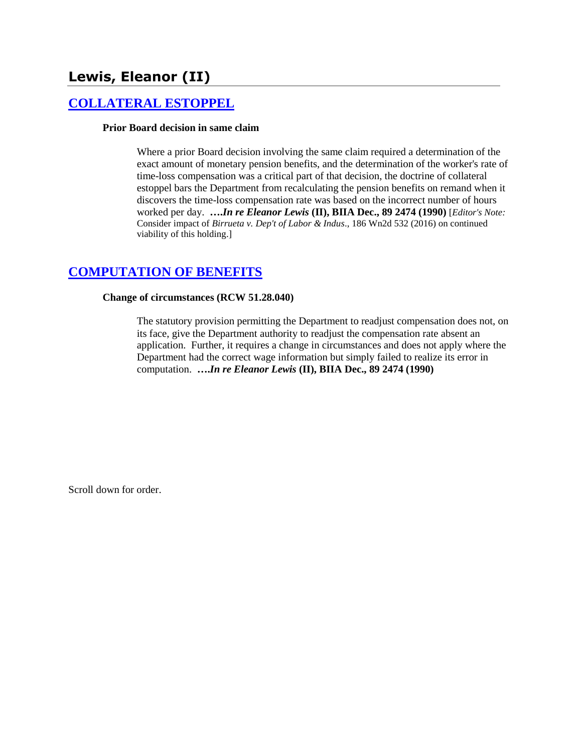# **Lewis, Eleanor (II)**

# **[COLLATERAL ESTOPPEL](http://www.biia.wa.gov/SDSubjectIndex.html#COLLATERAL_ESTOPPEL)**

### **Prior Board decision in same claim**

Where a prior Board decision involving the same claim required a determination of the exact amount of monetary pension benefits, and the determination of the worker's rate of time-loss compensation was a critical part of that decision, the doctrine of collateral estoppel bars the Department from recalculating the pension benefits on remand when it discovers the time-loss compensation rate was based on the incorrect number of hours worked per day. **….***In re Eleanor Lewis* **(II), BIIA Dec., 89 2474 (1990)** [*Editor's Note:*  Consider impact of *Birrueta v. Dep't of Labor & Indus*., 186 Wn2d 532 (2016) on continued viability of this holding.]

### **[COMPUTATION OF BENEFITS](http://www.biia.wa.gov/SDSubjectIndex.html#COMPUTATION_OF_BENEFITS)**

### **Change of circumstances (RCW 51.28.040)**

The statutory provision permitting the Department to readjust compensation does not, on its face, give the Department authority to readjust the compensation rate absent an application. Further, it requires a change in circumstances and does not apply where the Department had the correct wage information but simply failed to realize its error in computation. **….***In re Eleanor Lewis* **(II), BIIA Dec., 89 2474 (1990)**

Scroll down for order.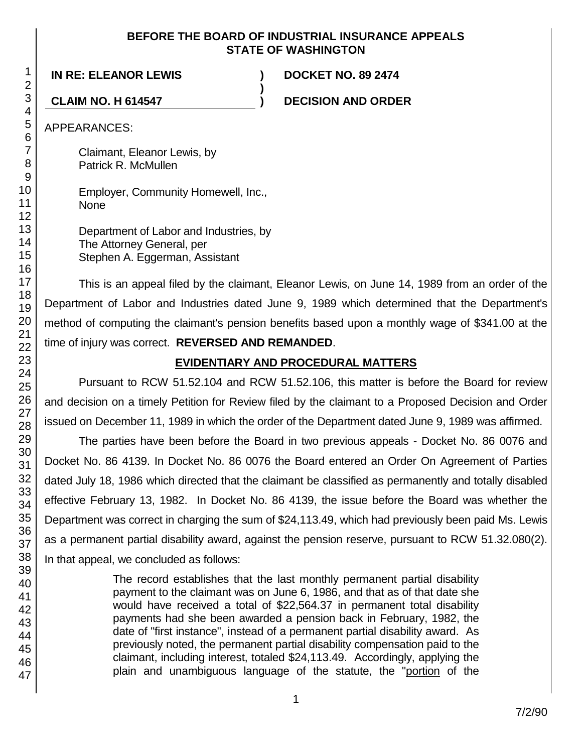### **BEFORE THE BOARD OF INDUSTRIAL INSURANCE APPEALS STATE OF WASHINGTON**

**)**

**IN RE: ELEANOR LEWIS ) DOCKET NO. 89 2474**

**CLAIM NO. H 614547 ) DECISION AND ORDER**

APPEARANCES:

Claimant, Eleanor Lewis, by Patrick R. McMullen

Employer, Community Homewell, Inc., None

Department of Labor and Industries, by The Attorney General, per Stephen A. Eggerman, Assistant

This is an appeal filed by the claimant, Eleanor Lewis, on June 14, 1989 from an order of the Department of Labor and Industries dated June 9, 1989 which determined that the Department's method of computing the claimant's pension benefits based upon a monthly wage of \$341.00 at the time of injury was correct. **REVERSED AND REMANDED**.

## **EVIDENTIARY AND PROCEDURAL MATTERS**

Pursuant to RCW 51.52.104 and RCW 51.52.106, this matter is before the Board for review and decision on a timely Petition for Review filed by the claimant to a Proposed Decision and Order issued on December 11, 1989 in which the order of the Department dated June 9, 1989 was affirmed.

The parties have been before the Board in two previous appeals - Docket No. 86 0076 and Docket No. 86 4139. In Docket No. 86 0076 the Board entered an Order On Agreement of Parties dated July 18, 1986 which directed that the claimant be classified as permanently and totally disabled effective February 13, 1982. In Docket No. 86 4139, the issue before the Board was whether the Department was correct in charging the sum of \$24,113.49, which had previously been paid Ms. Lewis as a permanent partial disability award, against the pension reserve, pursuant to RCW 51.32.080(2). In that appeal, we concluded as follows:

> The record establishes that the last monthly permanent partial disability payment to the claimant was on June 6, 1986, and that as of that date she would have received a total of \$22,564.37 in permanent total disability payments had she been awarded a pension back in February, 1982, the date of "first instance", instead of a permanent partial disability award. As previously noted, the permanent partial disability compensation paid to the claimant, including interest, totaled \$24,113.49. Accordingly, applying the plain and unambiguous language of the statute, the "portion of the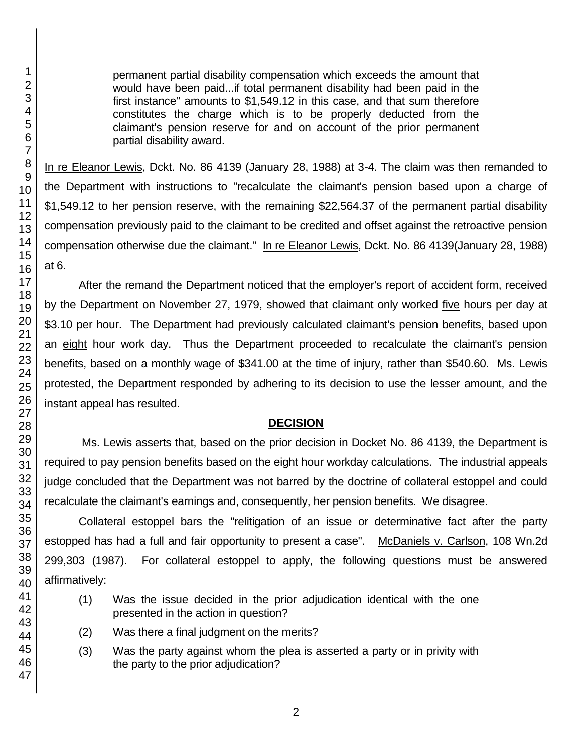permanent partial disability compensation which exceeds the amount that would have been paid...if total permanent disability had been paid in the first instance" amounts to \$1,549.12 in this case, and that sum therefore constitutes the charge which is to be properly deducted from the claimant's pension reserve for and on account of the prior permanent partial disability award.

In re Eleanor Lewis, Dckt. No. 86 4139 (January 28, 1988) at 3-4. The claim was then remanded to the Department with instructions to "recalculate the claimant's pension based upon a charge of \$1,549.12 to her pension reserve, with the remaining \$22,564.37 of the permanent partial disability compensation previously paid to the claimant to be credited and offset against the retroactive pension compensation otherwise due the claimant." In re Eleanor Lewis, Dckt. No. 86 4139(January 28, 1988) at 6.

After the remand the Department noticed that the employer's report of accident form, received by the Department on November 27, 1979, showed that claimant only worked five hours per day at \$3.10 per hour. The Department had previously calculated claimant's pension benefits, based upon an eight hour work day. Thus the Department proceeded to recalculate the claimant's pension benefits, based on a monthly wage of \$341.00 at the time of injury, rather than \$540.60. Ms. Lewis protested, the Department responded by adhering to its decision to use the lesser amount, and the instant appeal has resulted.

### **DECISION**

Ms. Lewis asserts that, based on the prior decision in Docket No. 86 4139, the Department is required to pay pension benefits based on the eight hour workday calculations. The industrial appeals judge concluded that the Department was not barred by the doctrine of collateral estoppel and could recalculate the claimant's earnings and, consequently, her pension benefits. We disagree.

Collateral estoppel bars the "relitigation of an issue or determinative fact after the party estopped has had a full and fair opportunity to present a case". McDaniels v. Carlson, 108 Wn.2d 299,303 (1987). For collateral estoppel to apply, the following questions must be answered affirmatively:

- (1) Was the issue decided in the prior adjudication identical with the one presented in the action in question?
- (2) Was there a final judgment on the merits?
- (3) Was the party against whom the plea is asserted a party or in privity with the party to the prior adjudication?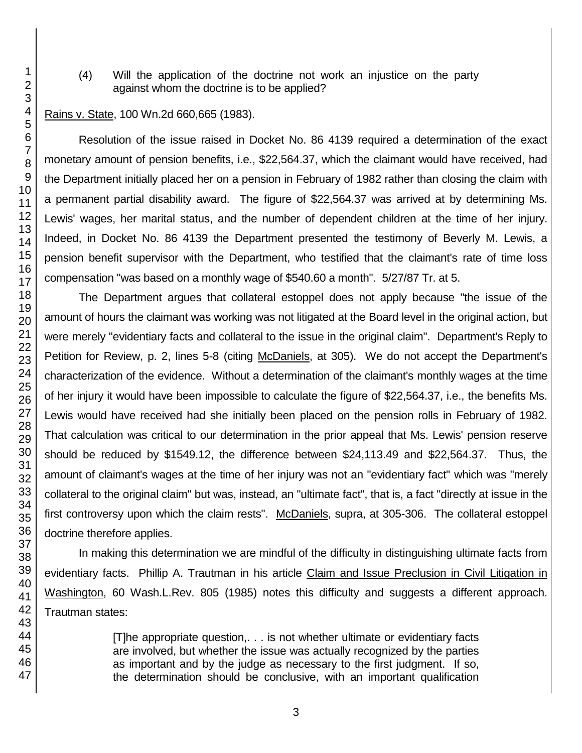(4) Will the application of the doctrine not work an injustice on the party against whom the doctrine is to be applied?

### Rains v. State, 100 Wn.2d 660,665 (1983).

Resolution of the issue raised in Docket No. 86 4139 required a determination of the exact monetary amount of pension benefits, i.e., \$22,564.37, which the claimant would have received, had the Department initially placed her on a pension in February of 1982 rather than closing the claim with a permanent partial disability award. The figure of \$22,564.37 was arrived at by determining Ms. Lewis' wages, her marital status, and the number of dependent children at the time of her injury. Indeed, in Docket No. 86 4139 the Department presented the testimony of Beverly M. Lewis, a pension benefit supervisor with the Department, who testified that the claimant's rate of time loss compensation "was based on a monthly wage of \$540.60 a month". 5/27/87 Tr. at 5.

The Department argues that collateral estoppel does not apply because "the issue of the amount of hours the claimant was working was not litigated at the Board level in the original action, but were merely "evidentiary facts and collateral to the issue in the original claim". Department's Reply to Petition for Review, p. 2, lines 5-8 (citing McDaniels, at 305). We do not accept the Department's characterization of the evidence. Without a determination of the claimant's monthly wages at the time of her injury it would have been impossible to calculate the figure of \$22,564.37, i.e., the benefits Ms. Lewis would have received had she initially been placed on the pension rolls in February of 1982. That calculation was critical to our determination in the prior appeal that Ms. Lewis' pension reserve should be reduced by \$1549.12, the difference between \$24,113.49 and \$22,564.37. Thus, the amount of claimant's wages at the time of her injury was not an "evidentiary fact" which was "merely collateral to the original claim" but was, instead, an "ultimate fact", that is, a fact "directly at issue in the first controversy upon which the claim rests". McDaniels, supra, at 305-306. The collateral estoppel doctrine therefore applies.

In making this determination we are mindful of the difficulty in distinguishing ultimate facts from evidentiary facts. Phillip A. Trautman in his article Claim and Issue Preclusion in Civil Litigation in Washington, 60 Wash.L.Rev. 805 (1985) notes this difficulty and suggests a different approach. Trautman states:

> [T]he appropriate question,. . . is not whether ultimate or evidentiary facts are involved, but whether the issue was actually recognized by the parties as important and by the judge as necessary to the first judgment. If so, the determination should be conclusive, with an important qualification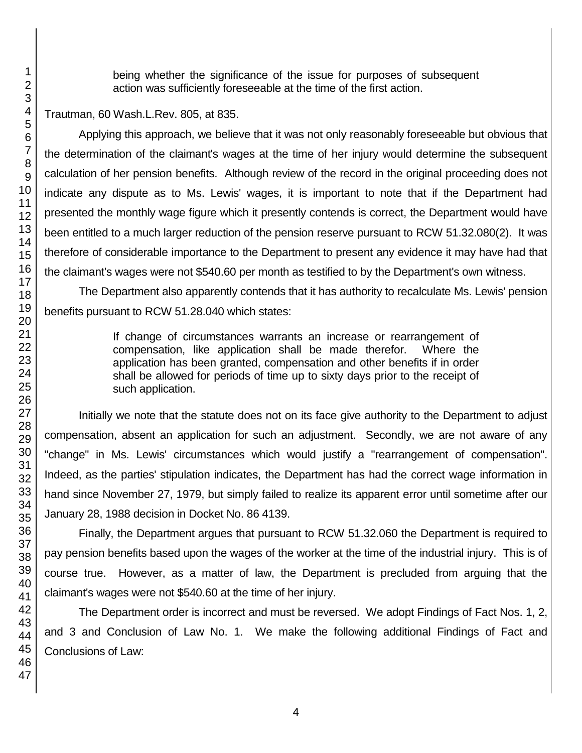being whether the significance of the issue for purposes of subsequent action was sufficiently foreseeable at the time of the first action.

Trautman, 60 Wash.L.Rev. 805, at 835.

Applying this approach, we believe that it was not only reasonably foreseeable but obvious that the determination of the claimant's wages at the time of her injury would determine the subsequent calculation of her pension benefits. Although review of the record in the original proceeding does not indicate any dispute as to Ms. Lewis' wages, it is important to note that if the Department had presented the monthly wage figure which it presently contends is correct, the Department would have been entitled to a much larger reduction of the pension reserve pursuant to RCW 51.32.080(2). It was therefore of considerable importance to the Department to present any evidence it may have had that the claimant's wages were not \$540.60 per month as testified to by the Department's own witness.

The Department also apparently contends that it has authority to recalculate Ms. Lewis' pension benefits pursuant to RCW 51.28.040 which states:

> If change of circumstances warrants an increase or rearrangement of compensation, like application shall be made therefor. Where the application has been granted, compensation and other benefits if in order shall be allowed for periods of time up to sixty days prior to the receipt of such application.

Initially we note that the statute does not on its face give authority to the Department to adjust compensation, absent an application for such an adjustment. Secondly, we are not aware of any "change" in Ms. Lewis' circumstances which would justify a "rearrangement of compensation". Indeed, as the parties' stipulation indicates, the Department has had the correct wage information in hand since November 27, 1979, but simply failed to realize its apparent error until sometime after our January 28, 1988 decision in Docket No. 86 4139.

Finally, the Department argues that pursuant to RCW 51.32.060 the Department is required to pay pension benefits based upon the wages of the worker at the time of the industrial injury. This is of course true. However, as a matter of law, the Department is precluded from arguing that the claimant's wages were not \$540.60 at the time of her injury.

The Department order is incorrect and must be reversed. We adopt Findings of Fact Nos. 1, 2, and 3 and Conclusion of Law No. 1. We make the following additional Findings of Fact and Conclusions of Law: